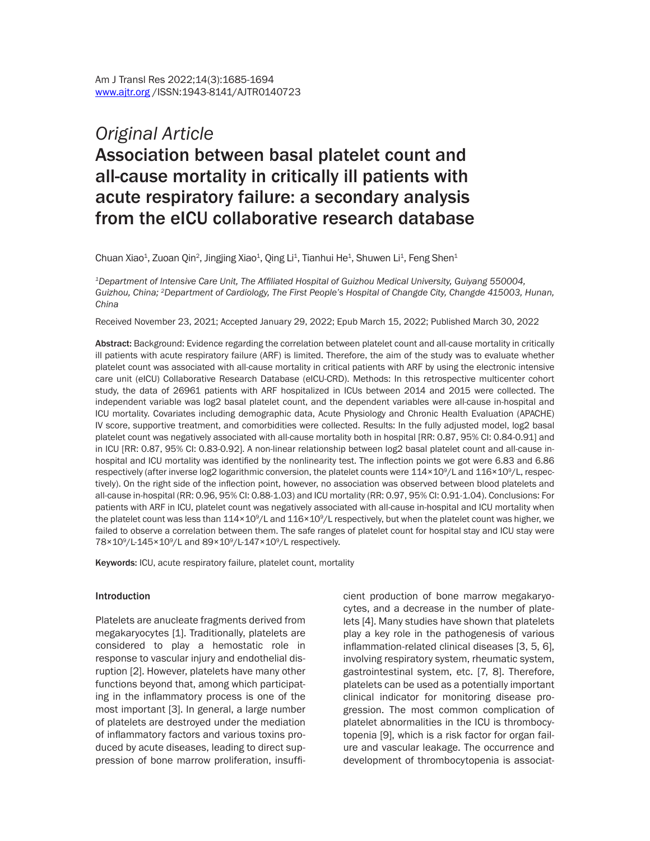# *Original Article* Association between basal platelet count and all-cause mortality in critically ill patients with acute respiratory failure: a secondary analysis from the eICU collaborative research database

Chuan Xiao<sup>1</sup>, Zuoan Qin<sup>2</sup>, Jingjing Xiao<sup>1</sup>, Qing Li<sup>1</sup>, Tianhui He<sup>1</sup>, Shuwen Li<sup>1</sup>, Feng Shen<sup>1</sup>

*<sup>1</sup>Department of Intensive Care Unit, The Affiliated Hospital of Guizhou Medical University, Guiyang 550004, Guizhou, China; <sup>2</sup>Department of Cardiology, The First People's Hospital of Changde City, Changde 415003, Hunan, China*

Received November 23, 2021; Accepted January 29, 2022; Epub March 15, 2022; Published March 30, 2022

Abstract: Background: Evidence regarding the correlation between platelet count and all-cause mortality in critically ill patients with acute respiratory failure (ARF) is limited. Therefore, the aim of the study was to evaluate whether platelet count was associated with all-cause mortality in critical patients with ARF by using the electronic intensive care unit (eICU) Collaborative Research Database (eICU-CRD). Methods: In this retrospective multicenter cohort study, the data of 26961 patients with ARF hospitalized in ICUs between 2014 and 2015 were collected. The independent variable was log2 basal platelet count, and the dependent variables were all-cause in-hospital and ICU mortality. Covariates including demographic data, Acute Physiology and Chronic Health Evaluation (APACHE) IV score, supportive treatment, and comorbidities were collected. Results: In the fully adjusted model, log2 basal platelet count was negatively associated with all-cause mortality both in hospital [RR: 0.87, 95% CI: 0.84-0.91] and in ICU [RR: 0.87, 95% CI: 0.83-0.92]. A non-linear relationship between log2 basal platelet count and all-cause inhospital and ICU mortality was identified by the nonlinearity test. The inflection points we got were 6.83 and 6.86 respectively (after inverse log2 logarithmic conversion, the platelet counts were  $114\times10^9$ /L and  $116\times10^9$ /L, respectively). On the right side of the inflection point, however, no association was observed between blood platelets and all-cause in-hospital (RR: 0.96, 95% CI: 0.88-1.03) and ICU mortality (RR: 0.97, 95% CI: 0.91-1.04). Conclusions: For patients with ARF in ICU, platelet count was negatively associated with all-cause in-hospital and ICU mortality when the platelet count was less than  $114\times10^9$ /L and  $116\times10^9$ /L respectively, but when the platelet count was higher, we failed to observe a correlation between them. The safe ranges of platelet count for hospital stay and ICU stay were 78×10<sup>9</sup>/L-145×10<sup>9</sup>/L and 89×10<sup>9</sup>/L-147×10<sup>9</sup>/L respectively.

Keywords: ICU, acute respiratory failure, platelet count, mortality

#### Introduction

Platelets are anucleate fragments derived from megakaryocytes [1]. Traditionally, platelets are considered to play a hemostatic role in response to vascular injury and endothelial disruption [2]. However, platelets have many other functions beyond that, among which participating in the inflammatory process is one of the most important [3]. In general, a large number of platelets are destroyed under the mediation of inflammatory factors and various toxins produced by acute diseases, leading to direct suppression of bone marrow proliferation, insufficient production of bone marrow megakaryocytes, and a decrease in the number of platelets [4]. Many studies have shown that platelets play a key role in the pathogenesis of various inflammation-related clinical diseases [3, 5, 6], involving respiratory system, rheumatic system, gastrointestinal system, etc. [7, 8]. Therefore, platelets can be used as a potentially important clinical indicator for monitoring disease progression. The most common complication of platelet abnormalities in the ICU is thrombocytopenia [9], which is a risk factor for organ failure and vascular leakage. The occurrence and development of thrombocytopenia is associat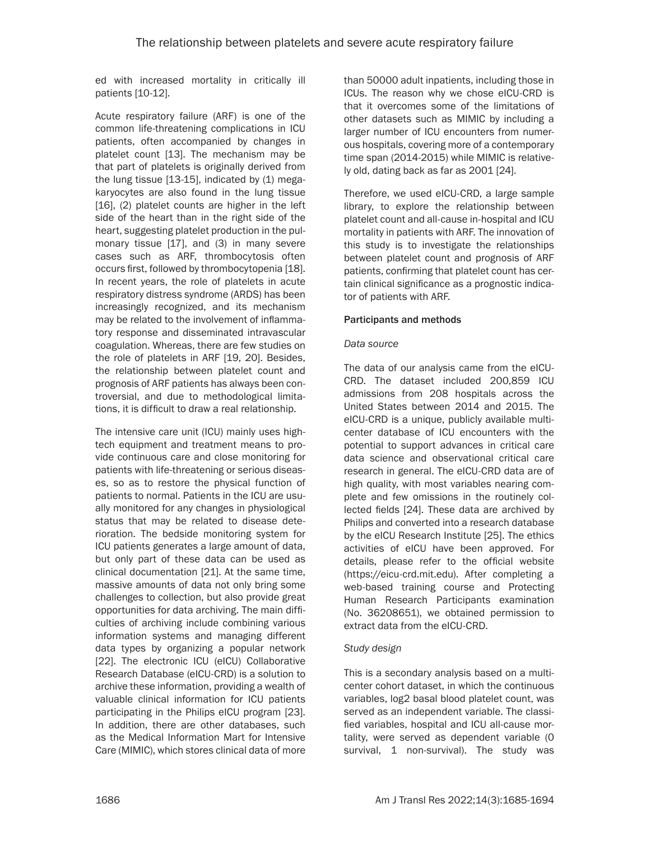ed with increased mortality in critically ill patients [10-12].

Acute respiratory failure (ARF) is one of the common life-threatening complications in ICU patients, often accompanied by changes in platelet count [13]. The mechanism may be that part of platelets is originally derived from the lung tissue  $[13-15]$ , indicated by  $(1)$  megakaryocytes are also found in the lung tissue [16], (2) platelet counts are higher in the left side of the heart than in the right side of the heart, suggesting platelet production in the pulmonary tissue [17], and (3) in many severe cases such as ARF, thrombocytosis often occurs first, followed by thrombocytopenia [18]. In recent years, the role of platelets in acute respiratory distress syndrome (ARDS) has been increasingly recognized, and its mechanism may be related to the involvement of inflammatory response and disseminated intravascular coagulation. Whereas, there are few studies on the role of platelets in ARF [19, 20]. Besides, the relationship between platelet count and prognosis of ARF patients has always been controversial, and due to methodological limitations, it is difficult to draw a real relationship.

The intensive care unit (ICU) mainly uses hightech equipment and treatment means to provide continuous care and close monitoring for patients with life-threatening or serious diseases, so as to restore the physical function of patients to normal. Patients in the ICU are usually monitored for any changes in physiological status that may be related to disease deterioration. The bedside monitoring system for ICU patients generates a large amount of data, but only part of these data can be used as clinical documentation [21]. At the same time, massive amounts of data not only bring some challenges to collection, but also provide great opportunities for data archiving. The main difficulties of archiving include combining various information systems and managing different data types by organizing a popular network [22]. The electronic ICU (eICU) Collaborative Research Database (eICU-CRD) is a solution to archive these information, providing a wealth of valuable clinical information for ICU patients participating in the Philips eICU program [23]. In addition, there are other databases, such as the Medical Information Mart for Intensive Care (MIMIC), which stores clinical data of more

than 50000 adult inpatients, including those in ICUs. The reason why we chose eICU-CRD is that it overcomes some of the limitations of other datasets such as MIMIC by including a larger number of ICU encounters from numerous hospitals, covering more of a contemporary time span (2014-2015) while MIMIC is relatively old, dating back as far as 2001 [24].

Therefore, we used eICU-CRD, a large sample library, to explore the relationship between platelet count and all-cause in-hospital and ICU mortality in patients with ARF. The innovation of this study is to investigate the relationships between platelet count and prognosis of ARF patients, confirming that platelet count has certain clinical significance as a prognostic indicator of patients with ARF.

#### Participants and methods

#### *Data source*

The data of our analysis came from the eICU-CRD. The dataset included 200,859 ICU admissions from 208 hospitals across the United States between 2014 and 2015. The eICU-CRD is a unique, publicly available multicenter database of ICU encounters with the potential to support advances in critical care data science and observational critical care research in general. The eICU-CRD data are of high quality, with most variables nearing complete and few omissions in the routinely collected fields [24]. These data are archived by Philips and converted into a research database by the eICU Research Institute [25]. The ethics activities of eICU have been approved. For details, please refer to the official website (https://eicu-crd.mit.edu). After completing a web-based training course and Protecting Human Research Participants examination (No. 36208651), we obtained permission to extract data from the eICU-CRD.

# *Study design*

This is a secondary analysis based on a multicenter cohort dataset, in which the continuous variables, log2 basal blood platelet count, was served as an independent variable. The classified variables, hospital and ICU all-cause mortality, were served as dependent variable (0 survival, 1 non-survival). The study was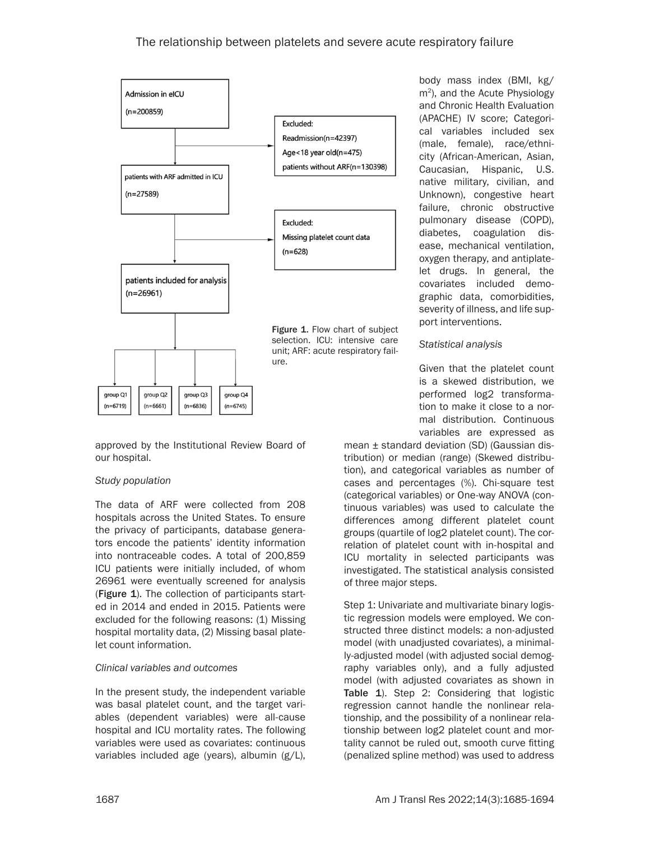

approved by the Institutional Review Board of our hospital.

#### *Study population*

The data of ARF were collected from 208 hospitals across the United States. To ensure the privacy of participants, database generators encode the patients' identity information into nontraceable codes. A total of 200,859 ICU patients were initially included, of whom 26961 were eventually screened for analysis (Figure 1). The collection of participants started in 2014 and ended in 2015. Patients were excluded for the following reasons: (1) Missing hospital mortality data, (2) Missing basal platelet count information.

#### *Clinical variables and outcomes*

In the present study, the independent variable was basal platelet count, and the target variables (dependent variables) were all-cause hospital and ICU mortality rates. The following variables were used as covariates: continuous variables included age (years), albumin (g/L),

body mass index (BMI, kg/ m2), and the Acute Physiology and Chronic Health Evaluation (APACHE) IV score; Categorical variables included sex (male, female), race/ethnicity (African-American, Asian, Caucasian, Hispanic, U.S. native military, civilian, and Unknown), congestive heart failure, chronic obstructive pulmonary disease (COPD), diabetes, coagulation disease, mechanical ventilation, oxygen therapy, and antiplatelet drugs. In general, the covariates included demographic data, comorbidities, severity of illness, and life support interventions.

#### *Statistical analysis*

Given that the platelet count is a skewed distribution, we performed log2 transformation to make it close to a normal distribution*.* Continuous variables are expressed as

mean ± standard deviation (SD) (Gaussian distribution) or median (range) (Skewed distribution), and categorical variables as number of cases and percentages (%). Chi-square test (categorical variables) or One-way ANOVA (continuous variables) was used to calculate the differences among different platelet count groups (quartile of log2 platelet count). The correlation of platelet count with in-hospital and ICU mortality in selected participants was investigated. The statistical analysis consisted of three major steps.

Step 1: Univariate and multivariate binary logistic regression models were employed. We constructed three distinct models: a non-adjusted model (with unadjusted covariates), a minimally-adjusted model (with adjusted social demography variables only), and a fully adjusted model (with adjusted covariates as shown in Table 1). Step 2: Considering that logistic regression cannot handle the nonlinear relationship, and the possibility of a nonlinear relationship between log2 platelet count and mortality cannot be ruled out, smooth curve fitting (penalized spline method) was used to address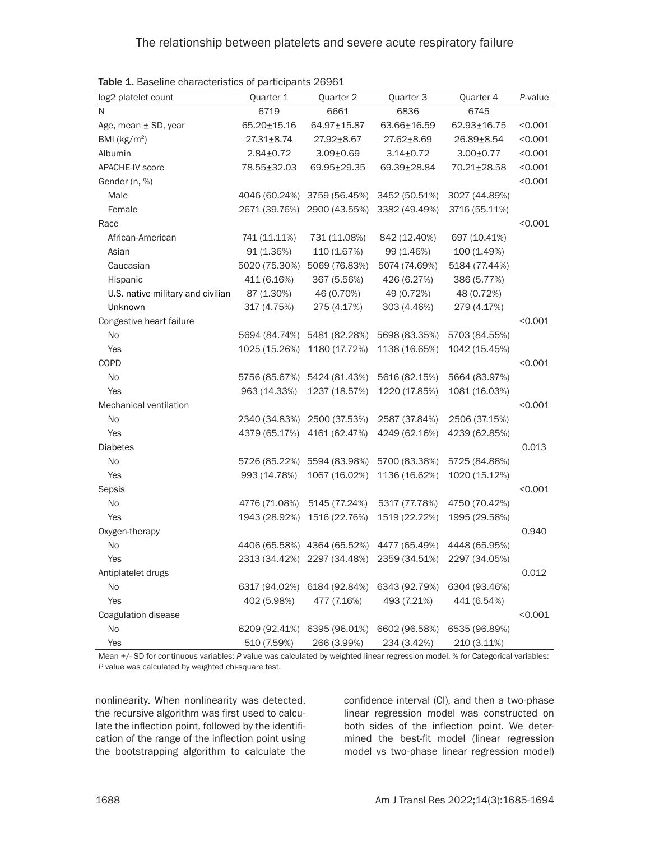| log2 platelet count               | Quarter 1        | Quarter 2                   | Quarter 3       | Quarter 4       | P-value |
|-----------------------------------|------------------|-----------------------------|-----------------|-----------------|---------|
| N                                 | 6719             | 6661                        | 6836            | 6745            |         |
| Age, mean ± SD, year              | 65.20±15.16      | 64.97±15.87                 | 63.66±16.59     | 62.93±16.75     | < 0.001 |
| BMI ( $kg/m2$ )                   | $27.31 \pm 8.74$ | 27.92±8.67                  | 27.62±8.69      | 26.89±8.54      | < 0.001 |
| Albumin                           | $2.84 \pm 0.72$  | $3.09 \pm 0.69$             | $3.14 \pm 0.72$ | $3.00 \pm 0.77$ | < 0.001 |
| <b>APACHE-IV score</b>            | 78.55±32.03      | 69.95±29.35                 | 69.39±28.84     | 70.21±28.58     | < 0.001 |
| Gender (n, %)                     |                  |                             |                 |                 | < 0.001 |
| Male                              | 4046 (60.24%)    | 3759 (56.45%)               | 3452 (50.51%)   | 3027 (44.89%)   |         |
| Female                            | 2671 (39.76%)    | 2900 (43.55%)               | 3382 (49.49%)   | 3716 (55.11%)   |         |
| Race                              |                  |                             |                 |                 | < 0.001 |
| African-American                  | 741 (11.11%)     | 731 (11.08%)                | 842 (12.40%)    | 697 (10.41%)    |         |
| Asian                             | 91 (1.36%)       | 110 (1.67%)                 | 99 (1.46%)      | 100 (1.49%)     |         |
| Caucasian                         | 5020 (75.30%)    | 5069 (76.83%)               | 5074 (74.69%)   | 5184 (77.44%)   |         |
| Hispanic                          | 411 (6.16%)      | 367 (5.56%)                 | 426 (6.27%)     | 386 (5.77%)     |         |
| U.S. native military and civilian | 87 (1.30%)       | 46 (0.70%)                  | 49 (0.72%)      | 48 (0.72%)      |         |
| Unknown                           | 317 (4.75%)      | 275 (4.17%)                 | 303 (4.46%)     | 279 (4.17%)     |         |
| Congestive heart failure          |                  |                             |                 |                 | < 0.001 |
| No                                | 5694 (84.74%)    | 5481 (82.28%)               | 5698 (83.35%)   | 5703 (84.55%)   |         |
| Yes                               | 1025 (15.26%)    | 1180 (17.72%)               | 1138 (16.65%)   | 1042 (15.45%)   |         |
| COPD                              |                  |                             |                 |                 | < 0.001 |
| No                                | 5756 (85.67%)    | 5424 (81.43%)               | 5616 (82.15%)   | 5664 (83.97%)   |         |
| Yes                               | 963 (14.33%)     | 1237 (18.57%)               | 1220 (17.85%)   | 1081 (16.03%)   |         |
| Mechanical ventilation            |                  |                             |                 |                 | < 0.001 |
| No                                | 2340 (34.83%)    | 2500 (37.53%)               | 2587 (37.84%)   | 2506 (37.15%)   |         |
| Yes                               | 4379 (65.17%)    | 4161 (62.47%)               | 4249 (62.16%)   | 4239 (62.85%)   |         |
| <b>Diabetes</b>                   |                  |                             |                 |                 | 0.013   |
| No                                | 5726 (85.22%)    | 5594 (83.98%)               | 5700 (83.38%)   | 5725 (84.88%)   |         |
| Yes                               | 993 (14.78%)     | 1067 (16.02%)               | 1136 (16.62%)   | 1020 (15.12%)   |         |
| Sepsis                            |                  |                             |                 |                 | < 0.001 |
| No                                | 4776 (71.08%)    | 5145 (77.24%)               | 5317 (77.78%)   | 4750 (70.42%)   |         |
| Yes                               | 1943 (28.92%)    | 1516 (22.76%)               | 1519 (22.22%)   | 1995 (29.58%)   |         |
| Oxygen-therapy                    |                  |                             |                 |                 | 0.940   |
| No                                |                  | 4406 (65.58%) 4364 (65.52%) | 4477 (65.49%)   | 4448 (65.95%)   |         |
| Yes                               | 2313 (34.42%)    | 2297 (34.48%)               | 2359 (34.51%)   | 2297 (34.05%)   |         |
| Antiplatelet drugs                |                  |                             |                 |                 | 0.012   |
| No                                |                  | 6317 (94.02%) 6184 (92.84%) | 6343 (92.79%)   | 6304 (93.46%)   |         |
| Yes                               | 402 (5.98%)      | 477 (7.16%)                 | 493 (7.21%)     | 441 (6.54%)     |         |
| Coagulation disease               |                  |                             |                 |                 | < 0.001 |
| No                                | 6209 (92.41%)    | 6395 (96.01%)               | 6602 (96.58%)   | 6535 (96.89%)   |         |
| Yes                               | 510 (7.59%)      | 266 (3.99%)                 | 234 (3.42%)     | 210 (3.11%)     |         |

Table 1. Baseline characteristics of participants 26961

Mean +/- SD for continuous variables: *P* value was calculated by weighted linear regression model. % for Categorical variables: *P* value was calculated by weighted chi-square test.

nonlinearity. When nonlinearity was detected, the recursive algorithm was first used to calculate the inflection point, followed by the identification of the range of the inflection point using the bootstrapping algorithm to calculate the

confidence interval (CI), and then a two-phase linear regression model was constructed on both sides of the inflection point. We determined the best-fit model (linear regression model vs two-phase linear regression model)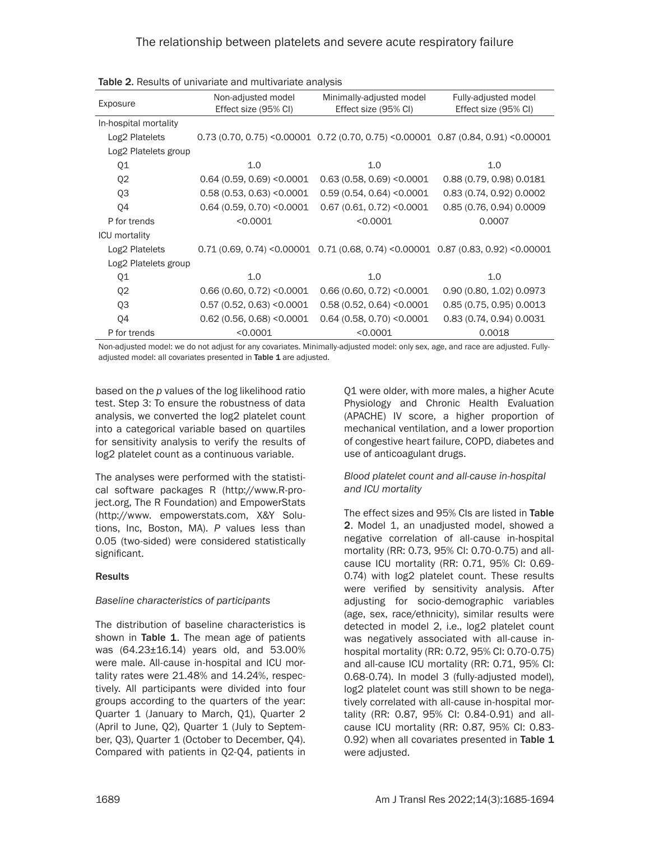| <b>ROUGE.</b> INCOUNCE OF UNITRAINANCE ON A HIGHLIGHT CHICLE OF LIGHT |                                            |                                                                                       |                                              |  |
|-----------------------------------------------------------------------|--------------------------------------------|---------------------------------------------------------------------------------------|----------------------------------------------|--|
| Exposure                                                              | Non-adjusted model<br>Effect size (95% CI) | Minimally-adjusted model<br>Effect size (95% CI)                                      | Fully-adjusted model<br>Effect size (95% CI) |  |
| In-hospital mortality                                                 |                                            |                                                                                       |                                              |  |
| Log2 Platelets                                                        |                                            | $0.73$ (0.70, 0.75) < 0.00001 0.72 (0.70, 0.75) < 0.00001 0.87 (0.84, 0.91) < 0.00001 |                                              |  |
| Log2 Platelets group                                                  |                                            |                                                                                       |                                              |  |
| Q1                                                                    | 1.0                                        | 1.0                                                                                   | 1.0                                          |  |
| Q <sub>2</sub>                                                        | $0.64$ (0.59, 0.69) < $0.0001$             | 0.63(0.58, 0.69) < 0.0001                                                             | 0.88 (0.79, 0.98) 0.0181                     |  |
| Q3                                                                    | 0.58(0.53, 0.63) < 0.0001                  | 0.59(0.54, 0.64) < 0.0001                                                             | 0.83 (0.74, 0.92) 0.0002                     |  |
| Q4                                                                    | $0.64$ (0.59, 0.70) < 0.0001               | $0.67$ (0.61, 0.72) <0.0001                                                           | 0.85 (0.76, 0.94) 0.0009                     |  |
| P for trends                                                          | < 0.0001                                   | < 0.0001                                                                              | 0.0007                                       |  |
| <b>ICU</b> mortality                                                  |                                            |                                                                                       |                                              |  |
| Log2 Platelets                                                        |                                            | $0.71$ (0.69, 0.74) <0.00001  0.71 (0.68, 0.74) <0.00001  0.87 (0.83, 0.92) <0.00001  |                                              |  |
| Log2 Platelets group                                                  |                                            |                                                                                       |                                              |  |
| Q1                                                                    | 1.0                                        | 1.0                                                                                   | 1.0                                          |  |
| Q <sub>2</sub>                                                        | $0.66(0.60, 0.72)$ < 0.0001                | $0.66(0.60, 0.72)$ < 0.0001                                                           | 0.90 (0.80, 1.02) 0.0973                     |  |
| Q3                                                                    | $0.57$ (0.52, 0.63) < $0.0001$             | 0.58(0.52, 0.64) < 0.0001                                                             | 0.85 (0.75, 0.95) 0.0013                     |  |
| Q4                                                                    | $0.62$ (0.56, 0.68) < 0.0001               | $0.64$ (0.58, 0.70) < $0.0001$                                                        | 0.83 (0.74, 0.94) 0.0031                     |  |
| P for trends                                                          | < 0.0001                                   | < 0.0001                                                                              | 0.0018                                       |  |

| Table 2. Results of univariate and multivariate analysis |  |  |  |  |
|----------------------------------------------------------|--|--|--|--|
|----------------------------------------------------------|--|--|--|--|

Non-adjusted model: we do not adjust for any covariates. Minimally-adjusted model: only sex, age, and race are adjusted. Fullyadjusted model: all covariates presented in Table 1 are adjusted.

based on the *p* values of the log likelihood ratio test. Step 3: To ensure the robustness of data analysis, we converted the log2 platelet count into a categorical variable based on quartiles for sensitivity analysis to verify the results of log2 platelet count as a continuous variable.

The analyses were performed with the statistical software packages R (http://www.R-project.org, The R Foundation) and EmpowerStats (http://www. empowerstats.com, X&Y Solutions, Inc, Boston, MA). *P* values less than 0.05 (two-sided) were considered statistically significant.

# **Results**

# *Baseline characteristics of participants*

The distribution of baseline characteristics is shown in Table 1. The mean age of patients was (64.23±16.14) years old, and 53.00% were male. All-cause in-hospital and ICU mortality rates were 21.48% and 14.24%, respectively. All participants were divided into four groups according to the quarters of the year: Quarter 1 (January to March, Q1), Quarter 2 (April to June, Q2), Quarter 1 (July to September, Q3), Quarter 1 (October to December, Q4). Compared with patients in Q2-Q4, patients in

Q1 were older, with more males, a higher Acute Physiology and Chronic Health Evaluation (APACHE) IV score, a higher proportion of mechanical ventilation, and a lower proportion of congestive heart failure, COPD, diabetes and use of anticoagulant drugs.

#### *Blood platelet count and all-cause in-hospital and ICU mortality*

The effect sizes and 95% CIs are listed in Table 2. Model 1, an unadjusted model, showed a negative correlation of all-cause in-hospital mortality (RR: 0.73, 95% CI: 0.70-0.75) and allcause ICU mortality (RR: 0.71, 95% CI: 0.69- 0.74) with log2 platelet count. These results were verified by sensitivity analysis. After adjusting for socio-demographic variables (age, sex, race/ethnicity), similar results were detected in model 2, i.e., log2 platelet count was negatively associated with all-cause inhospital mortality (RR: 0.72, 95% CI: 0.70-0.75) and all-cause ICU mortality (RR: 0.71, 95% CI: 0.68-0.74). In model 3 (fully-adjusted model), log2 platelet count was still shown to be negatively correlated with all-cause in-hospital mortality (RR: 0.87, 95% CI: 0.84-0.91) and allcause ICU mortality (RR: 0.87, 95% CI: 0.83- 0.92) when all covariates presented in Table 1 were adjusted.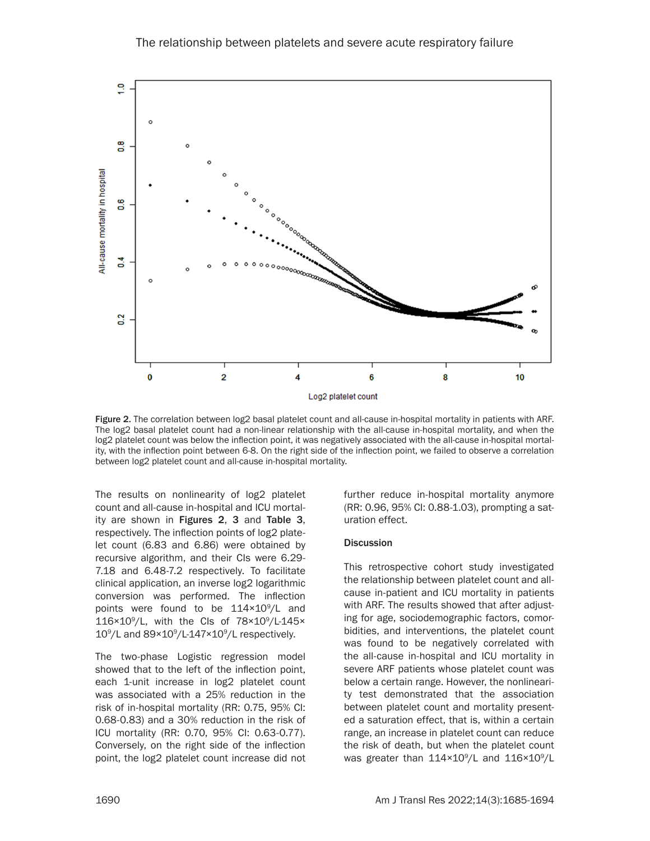

Figure 2. The correlation between log2 basal platelet count and all-cause in-hospital mortality in patients with ARF. The log2 basal platelet count had a non-linear relationship with the all-cause in-hospital mortality, and when the log2 platelet count was below the inflection point, it was negatively associated with the all-cause in-hospital mortality, with the inflection point between 6-8. On the right side of the inflection point, we failed to observe a correlation between log2 platelet count and all-cause in-hospital mortality.

The results on nonlinearity of log2 platelet count and all-cause in-hospital and ICU mortality are shown in Figures 2, 3 and Table 3, respectively. The inflection points of log2 platelet count (6.83 and 6.86) were obtained by recursive algorithm, and their CIs were 6.29- 7.18 and 6.48-7.2 respectively. To facilitate clinical application, an inverse log2 logarithmic conversion was performed. The inflection points were found to be 114×10<sup>9</sup>/L and 116×109 /L, with the CIs of 78×109 /L-145×  $10^9$ /L and  $89 \times 10^9$ /L-147 $\times 10^9$ /L respectively.

The two-phase Logistic regression model showed that to the left of the inflection point, each 1-unit increase in log2 platelet count was associated with a 25% reduction in the risk of in-hospital mortality (RR: 0.75, 95% CI: 0.68-0.83) and a 30% reduction in the risk of ICU mortality (RR: 0.70, 95% CI: 0.63-0.77). Conversely, on the right side of the inflection point, the log2 platelet count increase did not further reduce in-hospital mortality anymore (RR: 0.96, 95% CI: 0.88-1.03), prompting a saturation effect.

#### **Discussion**

This retrospective cohort study investigated the relationship between platelet count and allcause in-patient and ICU mortality in patients with ARF. The results showed that after adjusting for age, sociodemographic factors, comorbidities, and interventions, the platelet count was found to be negatively correlated with the all-cause in-hospital and ICU mortality in severe ARF patients whose platelet count was below a certain range. However, the nonlinearity test demonstrated that the association between platelet count and mortality presented a saturation effect, that is, within a certain range, an increase in platelet count can reduce the risk of death, but when the platelet count was greater than 114×10<sup>9</sup>/L and 116×10<sup>9</sup>/L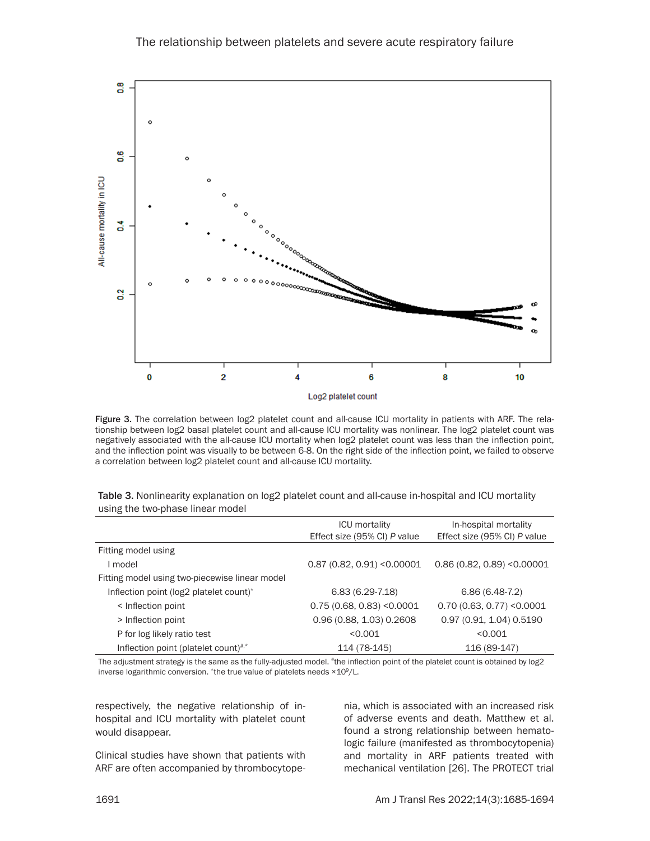

Figure 3. The correlation between log2 platelet count and all-cause ICU mortality in patients with ARF. The relationship between log2 basal platelet count and all-cause ICU mortality was nonlinear. The log2 platelet count was negatively associated with the all-cause ICU mortality when log2 platelet count was less than the inflection point, and the inflection point was visually to be between 6-8. On the right side of the inflection point, we failed to observe a correlation between log2 platelet count and all-cause ICU mortality.

|                                                | <b>ICU</b> mortality         | In-hospital mortality         |
|------------------------------------------------|------------------------------|-------------------------------|
|                                                | Effect size (95% CI) P value | Effect size (95% CI) P value  |
| Fitting model using                            |                              |                               |
| I model                                        | $0.87$ (0.82, 0.91) <0.00001 | $0.86(0.82, 0.89)$ < 0.00001  |
| Fitting model using two-piecewise linear model |                              |                               |
| Inflection point (log2 platelet count)*        | $6.83(6.29-7.18)$            | $6.86(6.48-7.2)$              |
| < Inflection point                             | 0.75(0.68, 0.83) < 0.0001    | $0.70(0.63, 0.77)$ < $0.0001$ |
| > Inflection point                             | 0.96 (0.88, 1.03) 0.2608     | 0.97 (0.91, 1.04) 0.5190      |
| P for log likely ratio test                    | < 0.001                      | < 0.001                       |
| Inflection point (platelet count)#,*           | 114 (78-145)                 | 116 (89-147)                  |

| Table 3. Nonlinearity explanation on log2 platelet count and all-cause in-hospital and ICU mortality |  |
|------------------------------------------------------------------------------------------------------|--|
| using the two-phase linear model                                                                     |  |

The adjustment strategy is the same as the fully-adjusted model. "the inflection point of the platelet count is obtained by log2 inverse logarithmic conversion. \*the true value of platelets needs ×10<sup>9</sup>/L.

respectively, the negative relationship of inhospital and ICU mortality with platelet count would disappear.

Clinical studies have shown that patients with ARF are often accompanied by thrombocytope-

nia, which is associated with an increased risk of adverse events and death. Matthew et al. found a strong relationship between hematologic failure (manifested as thrombocytopenia) and mortality in ARF patients treated with mechanical ventilation [26]. The PROTECT trial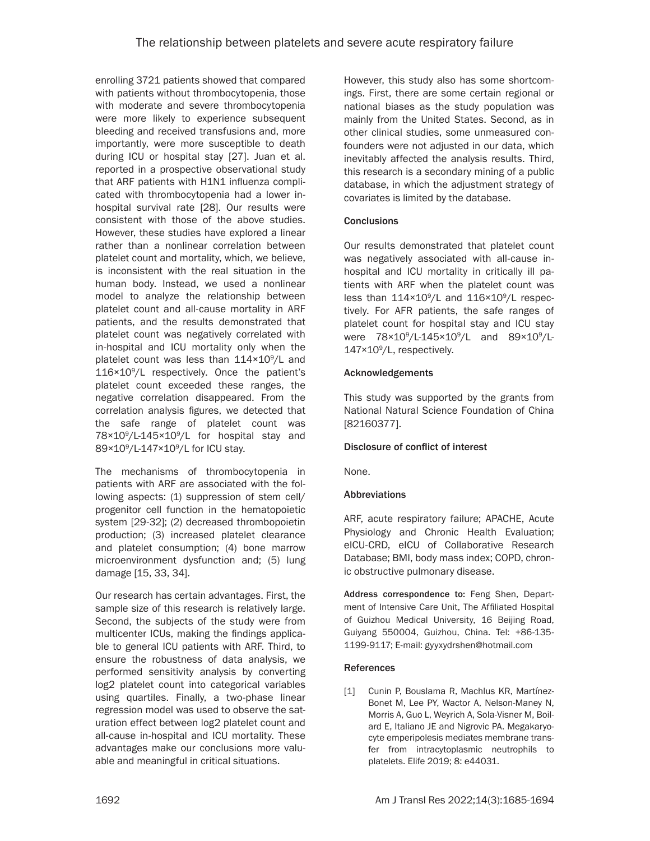enrolling 3721 patients showed that compared with patients without thrombocytopenia, those with moderate and severe thrombocytopenia were more likely to experience subsequent bleeding and received transfusions and, more importantly, were more susceptible to death during ICU or hospital stay [27]. Juan et al. reported in a prospective observational study that ARF patients with H1N1 influenza complicated with thrombocytopenia had a lower inhospital survival rate [28]. Our results were consistent with those of the above studies. However, these studies have explored a linear rather than a nonlinear correlation between platelet count and mortality, which, we believe, is inconsistent with the real situation in the human body. Instead, we used a nonlinear model to analyze the relationship between platelet count and all-cause mortality in ARF patients, and the results demonstrated that platelet count was negatively correlated with in-hospital and ICU mortality only when the platelet count was less than 114×10<sup>9</sup>/L and 116×109 /L respectively. Once the patient's platelet count exceeded these ranges, the negative correlation disappeared. From the correlation analysis figures, we detected that the safe range of platelet count was 78×10<sup>9</sup>/L-145×10<sup>9</sup>/L for hospital stay and 89×10°/L-147×10°/L for ICU stay.

The mechanisms of thrombocytopenia in patients with ARF are associated with the following aspects: (1) suppression of stem cell/ progenitor cell function in the hematopoietic system [29-32]; (2) decreased thrombopoietin production; (3) increased platelet clearance and platelet consumption; (4) bone marrow microenvironment dysfunction and; (5) lung damage [15, 33, 34].

Our research has certain advantages. First, the sample size of this research is relatively large. Second, the subjects of the study were from multicenter ICUs, making the findings applicable to general ICU patients with ARF. Third, to ensure the robustness of data analysis, we performed sensitivity analysis by converting log2 platelet count into categorical variables using quartiles. Finally, a two-phase linear regression model was used to observe the saturation effect between log2 platelet count and all-cause in-hospital and ICU mortality. These advantages make our conclusions more valuable and meaningful in critical situations.

However, this study also has some shortcomings. First, there are some certain regional or national biases as the study population was mainly from the United States. Second, as in other clinical studies, some unmeasured confounders were not adjusted in our data, which inevitably affected the analysis results. Third, this research is a secondary mining of a public database, in which the adjustment strategy of covariates is limited by the database.

# **Conclusions**

Our results demonstrated that platelet count was negatively associated with all-cause inhospital and ICU mortality in critically ill patients with ARF when the platelet count was less than 114×10<sup>9</sup>/L and 116×10<sup>9</sup>/L respectively. For AFR patients, the safe ranges of platelet count for hospital stay and ICU stay were 78×10<sup>9</sup>/L-145×10<sup>9</sup>/L and 89×10<sup>9</sup>/L-147×109 /L, respectively.

# Acknowledgements

This study was supported by the grants from National Natural Science Foundation of China [82160377].

# Disclosure of conflict of interest

None.

# **Abbreviations**

ARF, acute respiratory failure; APACHE, Acute Physiology and Chronic Health Evaluation; eICU-CRD, eICU of Collaborative Research Database; BMI, body mass index; COPD, chronic obstructive pulmonary disease.

Address correspondence to: Feng Shen, Department of Intensive Care Unit, The Affiliated Hospital of Guizhou Medical University, 16 Beijing Road, Guiyang 550004, Guizhou, China. Tel: +86-135- 1199-9117; E-mail: [gyyxydrshen@hotmail.com](mailto:gyyxydrshen@hotmail.com)

# **References**

[1] Cunin P, Bouslama R, Machlus KR, Martínez-Bonet M, Lee PY, Wactor A, Nelson-Maney N, Morris A, Guo L, Weyrich A, Sola-Visner M, Boilard E, Italiano JE and Nigrovic PA. Megakaryocyte emperipolesis mediates membrane transfer from intracytoplasmic neutrophils to platelets. Elife 2019; 8: e44031.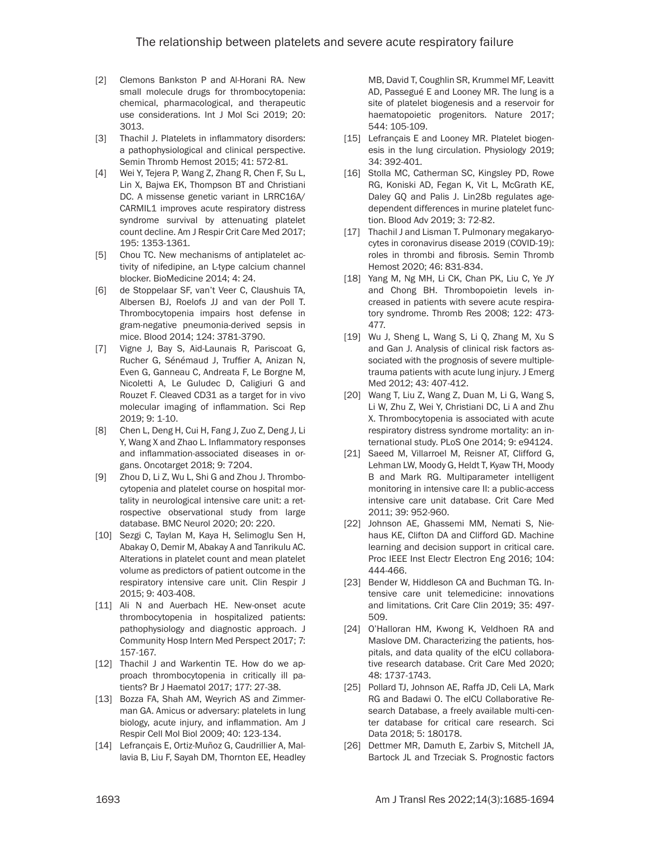- [2] Clemons Bankston P and Al-Horani RA. New small molecule drugs for thrombocytopenia: chemical, pharmacological, and therapeutic use considerations. Int J Mol Sci 2019; 20: 3013.
- [3] Thachil J. Platelets in inflammatory disorders: a pathophysiological and clinical perspective. Semin Thromb Hemost 2015; 41: 572-81.
- [4] Wei Y, Tejera P, Wang Z, Zhang R, Chen F, Su L, Lin X, Bajwa EK, Thompson BT and Christiani DC. A missense genetic variant in LRRC16A/ CARMIL1 improves acute respiratory distress syndrome survival by attenuating platelet count decline. Am J Respir Crit Care Med 2017; 195: 1353-1361.
- [5] Chou TC. New mechanisms of antiplatelet activity of nifedipine, an L-type calcium channel blocker. BioMedicine 2014; 4: 24.
- [6] de Stoppelaar SF, van't Veer C, Claushuis TA, Albersen BJ, Roelofs JJ and van der Poll T. Thrombocytopenia impairs host defense in gram-negative pneumonia-derived sepsis in mice. Blood 2014; 124: 3781-3790.
- [7] Vigne J, Bay S, Aid-Launais R, Pariscoat G, Rucher G, Sénémaud J, Truffier A, Anizan N, Even G, Ganneau C, Andreata F, Le Borgne M, Nicoletti A, Le Guludec D, Caligiuri G and Rouzet F. Cleaved CD31 as a target for in vivo molecular imaging of inflammation. Sci Rep 2019; 9: 1-10.
- [8] Chen L, Deng H, Cui H, Fang J, Zuo Z, Deng J, Li Y, Wang X and Zhao L. Inflammatory responses and inflammation-associated diseases in organs. Oncotarget 2018; 9: 7204.
- [9] Zhou D, Li Z, Wu L, Shi G and Zhou J. Thrombocytopenia and platelet course on hospital mortality in neurological intensive care unit: a retrospective observational study from large database. BMC Neurol 2020; 20: 220.
- [10] Sezgi C, Taylan M, Kaya H, Selimoglu Sen H, Abakay O, Demir M, Abakay A and Tanrikulu AC. Alterations in platelet count and mean platelet volume as predictors of patient outcome in the respiratory intensive care unit. Clin Respir J 2015; 9: 403-408.
- [11] Ali N and Auerbach HE. New-onset acute thrombocytopenia in hospitalized patients: pathophysiology and diagnostic approach. J Community Hosp Intern Med Perspect 2017; 7: 157-167.
- [12] Thachil J and Warkentin TE. How do we approach thrombocytopenia in critically ill patients? Br J Haematol 2017; 177: 27-38.
- [13] Bozza FA, Shah AM, Weyrich AS and Zimmerman GA. Amicus or adversary: platelets in lung biology, acute injury, and inflammation. Am J Respir Cell Mol Biol 2009; 40: 123-134.
- [14] Lefrançais E, Ortiz-Muñoz G, Caudrillier A, Mallavia B, Liu F, Sayah DM, Thornton EE, Headley

MB, David T, Coughlin SR, Krummel MF, Leavitt AD, Passegué E and Looney MR. The lung is a site of platelet biogenesis and a reservoir for haematopoietic progenitors. Nature 2017; 544: 105-109.

- [15] Lefrançais E and Looney MR. Platelet biogenesis in the lung circulation. Physiology 2019; 34: 392-401.
- [16] Stolla MC, Catherman SC, Kingsley PD, Rowe RG, Koniski AD, Fegan K, Vit L, McGrath KE, Daley GQ and Palis J. Lin28b regulates agedependent differences in murine platelet function. Blood Adv 2019; 3: 72-82.
- [17] Thachil J and Lisman T. Pulmonary megakaryocytes in coronavirus disease 2019 (COVID-19): roles in thrombi and fibrosis. Semin Thromb Hemost 2020; 46: 831-834.
- [18] Yang M, Ng MH, Li CK, Chan PK, Liu C, Ye JY and Chong BH. Thrombopoietin levels increased in patients with severe acute respiratory syndrome. Thromb Res 2008; 122: 473- 477.
- [19] Wu J, Sheng L, Wang S, Li Q, Zhang M, Xu S and Gan J. Analysis of clinical risk factors associated with the prognosis of severe multipletrauma patients with acute lung injury. J Emerg Med 2012; 43: 407-412.
- [20] Wang T, Liu Z, Wang Z, Duan M, Li G, Wang S, Li W, Zhu Z, Wei Y, Christiani DC, Li A and Zhu X. Thrombocytopenia is associated with acute respiratory distress syndrome mortality: an international study. PLoS One 2014; 9: e94124.
- [21] Saeed M, Villarroel M, Reisner AT, Clifford G, Lehman LW, Moody G, Heldt T, Kyaw TH, Moody B and Mark RG. Multiparameter intelligent monitoring in intensive care II: a public-access intensive care unit database. Crit Care Med 2011; 39: 952-960.
- [22] Johnson AE, Ghassemi MM, Nemati S, Niehaus KE, Clifton DA and Clifford GD. Machine learning and decision support in critical care. Proc IEEE Inst Electr Electron Eng 2016; 104: 444-466.
- [23] Bender W, Hiddleson CA and Buchman TG. Intensive care unit telemedicine: innovations and limitations. Crit Care Clin 2019; 35: 497- 509.
- [24] O'Halloran HM, Kwong K, Veldhoen RA and Maslove DM. Characterizing the patients, hospitals, and data quality of the eICU collaborative research database. Crit Care Med 2020; 48: 1737-1743.
- [25] Pollard TJ, Johnson AE, Raffa JD, Celi LA, Mark RG and Badawi O. The eICU Collaborative Research Database, a freely available multi-center database for critical care research. Sci Data 2018; 5: 180178.
- [26] Dettmer MR, Damuth E, Zarbiv S, Mitchell JA, Bartock JL and Trzeciak S. Prognostic factors